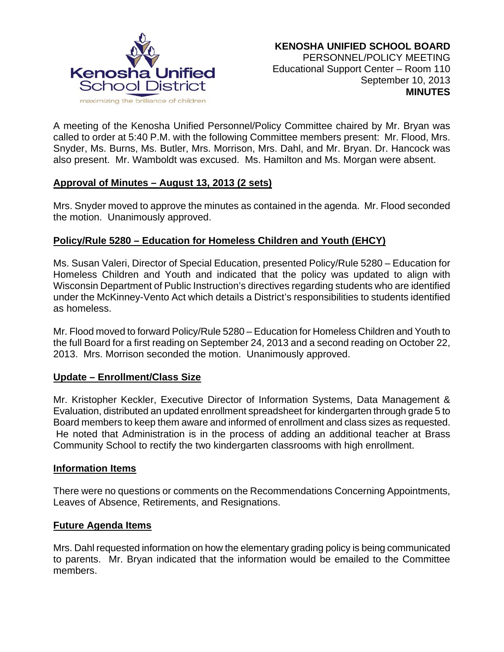

A meeting of the Kenosha Unified Personnel/Policy Committee chaired by Mr. Bryan was called to order at 5:40 P.M. with the following Committee members present: Mr. Flood, Mrs. Snyder, Ms. Burns, Ms. Butler, Mrs. Morrison, Mrs. Dahl, and Mr. Bryan. Dr. Hancock was also present. Mr. Wamboldt was excused. Ms. Hamilton and Ms. Morgan were absent.

### **Approval of Minutes – August 13, 2013 (2 sets)**

Mrs. Snyder moved to approve the minutes as contained in the agenda. Mr. Flood seconded the motion. Unanimously approved.

# **Policy/Rule 5280 – Education for Homeless Children and Youth (EHCY)**

Ms. Susan Valeri, Director of Special Education, presented Policy/Rule 5280 – Education for Homeless Children and Youth and indicated that the policy was updated to align with Wisconsin Department of Public Instruction's directives regarding students who are identified under the McKinney-Vento Act which details a District's responsibilities to students identified as homeless.

Mr. Flood moved to forward Policy/Rule 5280 – Education for Homeless Children and Youth to the full Board for a first reading on September 24, 2013 and a second reading on October 22, 2013. Mrs. Morrison seconded the motion. Unanimously approved.

### **Update – Enrollment/Class Size**

Mr. Kristopher Keckler, Executive Director of Information Systems, Data Management & Evaluation, distributed an updated enrollment spreadsheet for kindergarten through grade 5 to Board members to keep them aware and informed of enrollment and class sizes as requested. He noted that Administration is in the process of adding an additional teacher at Brass Community School to rectify the two kindergarten classrooms with high enrollment.

### **Information Items**

There were no questions or comments on the Recommendations Concerning Appointments, Leaves of Absence, Retirements, and Resignations.

### **Future Agenda Items**

Mrs. Dahl requested information on how the elementary grading policy is being communicated to parents. Mr. Bryan indicated that the information would be emailed to the Committee members.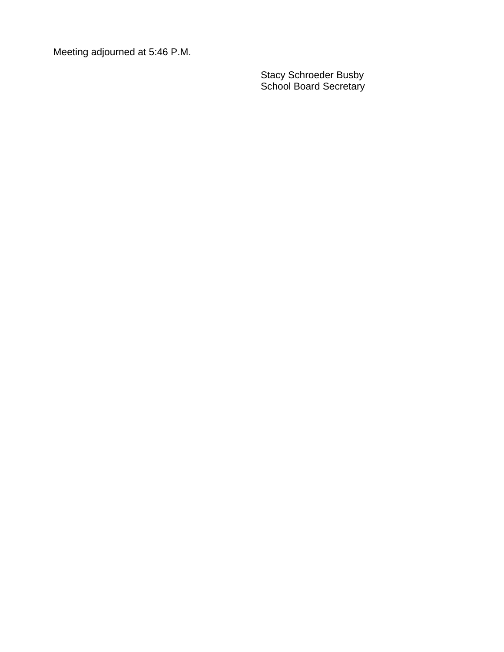Meeting adjourned at 5:46 P.M.

Stacy Schroeder Busby School Board Secretary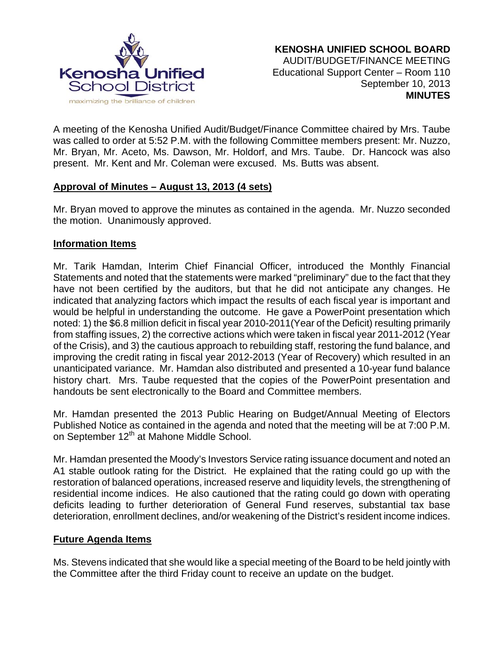

A meeting of the Kenosha Unified Audit/Budget/Finance Committee chaired by Mrs. Taube was called to order at 5:52 P.M. with the following Committee members present: Mr. Nuzzo, Mr. Bryan, Mr. Aceto, Ms. Dawson, Mr. Holdorf, and Mrs. Taube. Dr. Hancock was also present. Mr. Kent and Mr. Coleman were excused. Ms. Butts was absent.

# **Approval of Minutes – August 13, 2013 (4 sets)**

Mr. Bryan moved to approve the minutes as contained in the agenda. Mr. Nuzzo seconded the motion. Unanimously approved.

# **Information Items**

Mr. Tarik Hamdan, Interim Chief Financial Officer, introduced the Monthly Financial Statements and noted that the statements were marked "preliminary" due to the fact that they have not been certified by the auditors, but that he did not anticipate any changes. He indicated that analyzing factors which impact the results of each fiscal year is important and would be helpful in understanding the outcome. He gave a PowerPoint presentation which noted: 1) the \$6.8 million deficit in fiscal year 2010-2011(Year of the Deficit) resulting primarily from staffing issues, 2) the corrective actions which were taken in fiscal year 2011-2012 (Year of the Crisis), and 3) the cautious approach to rebuilding staff, restoring the fund balance, and improving the credit rating in fiscal year 2012-2013 (Year of Recovery) which resulted in an unanticipated variance. Mr. Hamdan also distributed and presented a 10-year fund balance history chart. Mrs. Taube requested that the copies of the PowerPoint presentation and handouts be sent electronically to the Board and Committee members.

Mr. Hamdan presented the 2013 Public Hearing on Budget/Annual Meeting of Electors Published Notice as contained in the agenda and noted that the meeting will be at 7:00 P.M. on September 12<sup>th</sup> at Mahone Middle School.

Mr. Hamdan presented the Moody's Investors Service rating issuance document and noted an A1 stable outlook rating for the District. He explained that the rating could go up with the restoration of balanced operations, increased reserve and liquidity levels, the strengthening of residential income indices. He also cautioned that the rating could go down with operating deficits leading to further deterioration of General Fund reserves, substantial tax base deterioration, enrollment declines, and/or weakening of the District's resident income indices.

# **Future Agenda Items**

Ms. Stevens indicated that she would like a special meeting of the Board to be held jointly with the Committee after the third Friday count to receive an update on the budget.